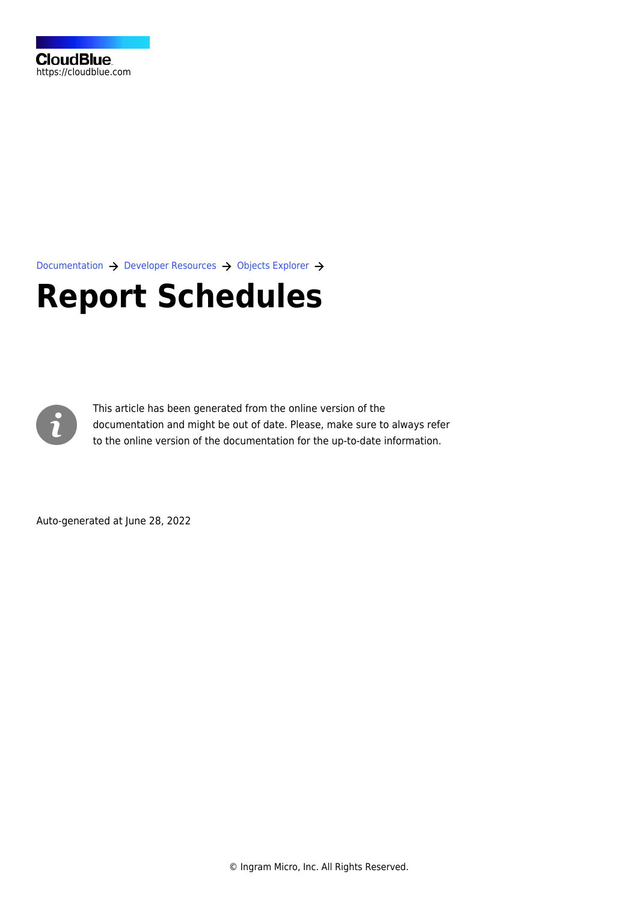[Documentation](https://connect.cloudblue.com/documentation)  $\rightarrow$  [Developer Resources](https://connect.cloudblue.com/community/developers/)  $\rightarrow$  [Objects Explorer](https://connect.cloudblue.com/community/developers/objects/)  $\rightarrow$ 

# **[Report Schedules](https://connect.cloudblue.com/community/developers/objects/report-schedules/)**



This article has been generated from the online version of the documentation and might be out of date. Please, make sure to always refer to the online version of the documentation for the up-to-date information.

Auto-generated at June 28, 2022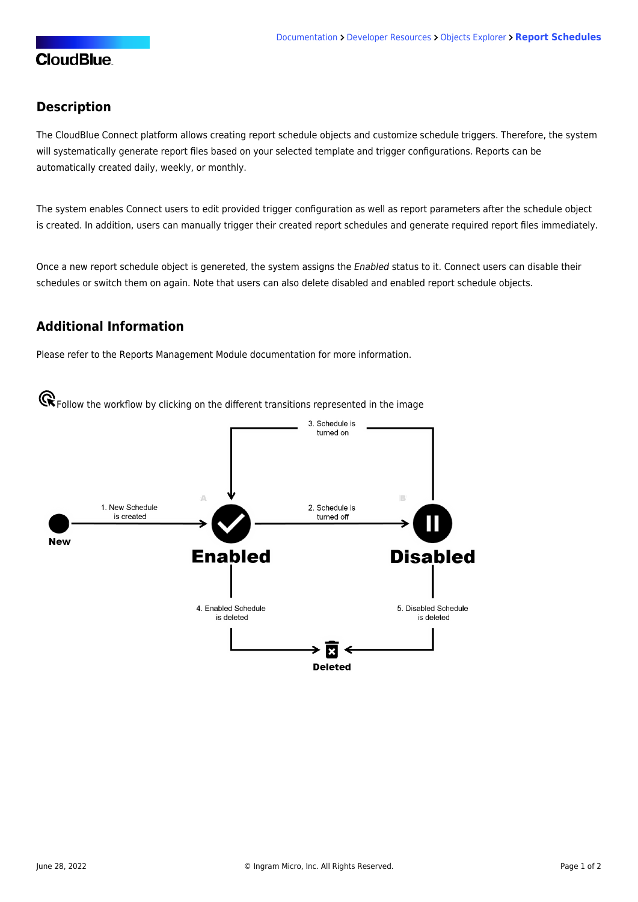### **CloudBlue**

#### **Description**

The CloudBlue Connect platform allows creating report schedule objects and customize schedule triggers. Therefore, the system will systematically generate report files based on your selected template and trigger configurations. Reports can be automatically created daily, weekly, or monthly.

The system enables Connect users to edit provided trigger configuration as well as report parameters after the schedule object is created. In addition, users can manually trigger their created report schedules and generate required report files immediately.

Once a new report schedule object is genereted, the system assigns the Enabled status to it. Connect users can disable their schedules or switch them on again. Note that users can also delete disabled and enabled report schedule objects.

#### **Additional Information**

Please refer to the [Reports Management Module](https://connect.cloudblue.com/community/modules/reports/) documentation for more information.